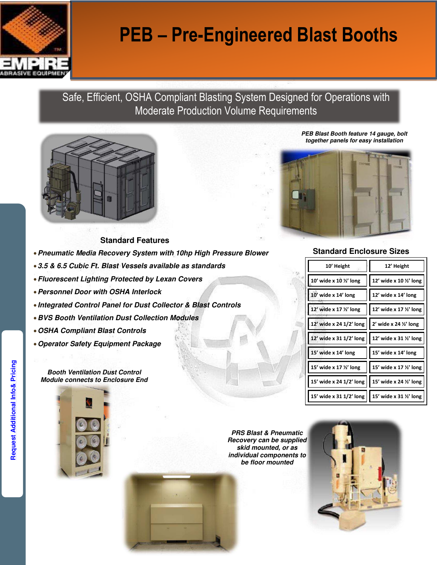

# **PEB – Pre-Engineered Blast Booths**

## Safe, Efficient, OSHA Compliant Blasting System Designed for Operations with Moderate Production Volume Requirements



#### **Standard Features**

- **Pneumatic Media Recovery System with 10hp High Pressure Blower**
- **3.5 & 6.5 Cubic Ft. Blast Vessels available as standards**
- **Fluorescent Lighting Protected by Lexan Covers**
- **Personnel Door with OSHA Interlock**
- **Integrated Control Panel for Dust Collector & Blast Controls**
- **BVS Booth Ventilation Dust Collection Modules**
- **OSHA Compliant Blast Controls**
- **Operator Safety Equipment Package**

**Booth Ventilation Dust Control Module connects to Enclosure End** 



**PRS Blast & Pneumatic Recovery can be supplied skid mounted, or as individual components to be floor mounted** 



**PEB Blast Booth feature 14 gauge, bolt together panels for easy installation** 



#### **Standard Enclosure Sizes**

| 10' Height                                        | 12' Height              |
|---------------------------------------------------|-------------------------|
| 10' wide x 10 1/2' long                           | 12' wide x 10 1/2' long |
| 10' wide x 14' long                               | 12' wide x 14' long     |
| 12' wide x 17 %' long                             | 12' wide x 17 1/2' long |
| 12' wide x 24 1/2' long   2' wide x 24 1/2' long  |                         |
| 12' wide x 31 1/2' long   12' wide x 31 1/2' long |                         |
| 15' wide x 14' long                               | 15' wide x 14' long     |
| 15' wide x 17 1/2' long                           | 15' wide x 17 1/2' long |
| 15' wide x 24 1/2' long   15' wide x 24 1/2' long |                         |
| 15' wide x 31 1/2' long                           | 15' wide x 31 %' long   |
|                                                   |                         |